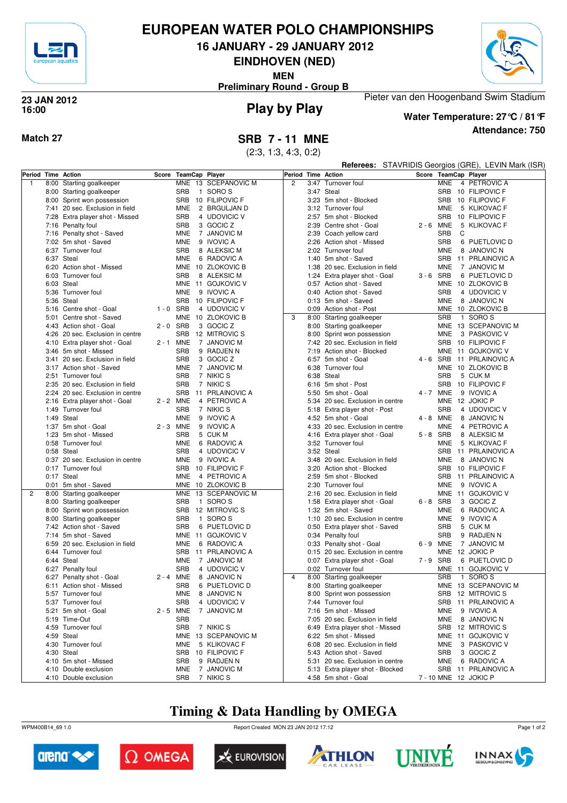

# **EUROPEAN WATER POLO CHAMPIONSHIPS**

**16 JANUARY - 29 JANUARY 2012**

**EINDHOVEN (NED)**

**MEN**



**Preliminary Round - Group B**

## **Play by Play 23 JAN 2012 16:00**



## **Attendance: 750 Water Temperature: 27°C / 81°F**

Pieter van den Hoogenband Swim Stadium

(2:3, 1:3, 4:3, 0:2)

|                    |      |                                                        |             |            |                                   |   |      |                                                          |                      | <b>Referees:</b> STAVRIDIS Georgios (GRE), LEVIN Mark (ISR) |
|--------------------|------|--------------------------------------------------------|-------------|------------|-----------------------------------|---|------|----------------------------------------------------------|----------------------|-------------------------------------------------------------|
| Period Time Action |      |                                                        | Score       |            | TeamCap Player                    |   |      | Period Time Action                                       | Score TeamCap Player |                                                             |
| $\overline{1}$     | 8:00 | Starting goalkeeper                                    |             |            | MNE 13 SCEPANOVIC M               | 2 | 3:47 | Turnover foul                                            | <b>MNE</b>           | 4 PETROVIC A                                                |
|                    |      | 8:00 Starting goalkeeper                               |             | <b>SRB</b> | 1 SORO S                          |   |      | 3:47 Steal                                               |                      | SRB 10 FILIPOVIC F                                          |
|                    |      | 8:00 Sprint won possession                             |             | <b>SRB</b> | 10 FILIPOVIC F                    |   |      | 3:23 5m shot - Blocked                                   |                      | SRB 10 FILIPOVIC F                                          |
|                    |      | 7:41 20 sec. Exclusion in field                        |             | <b>MNE</b> | 2 BRGULJAN D                      |   |      | 3:12 Turnover foul                                       | <b>MNE</b>           | 5 KLIKOVAC F                                                |
|                    |      | 7:28 Extra player shot - Missed                        |             | SRB        | 4 UDOVICIC V                      |   |      | 2:57 5m shot - Blocked                                   |                      | SRB 10 FILIPOVIC F                                          |
|                    |      | 7:16 Penalty foul                                      |             | <b>SRB</b> | 3 GOCIC Z                         |   | 2:39 | Centre shot - Goal                                       | $2 - 6$ MNE          | 5 KLIKOVAC F                                                |
|                    |      | 7:16 Penalty shot - Saved                              |             | <b>MNE</b> | 7 JANOVIC M                       |   |      | 2:39 Coach yellow card                                   | <b>SRB</b><br>C      |                                                             |
|                    |      | 7:02 5m shot - Saved                                   |             | <b>MNE</b> | 9 IVOVIC A                        |   | 2:26 | Action shot - Missed                                     | <b>SRB</b>           | 6 PIJETLOVIC D                                              |
|                    |      | 6:37 Turnover foul                                     |             | <b>SRB</b> | 8 ALEKSIC M                       |   | 2:02 | Turnover foul                                            | <b>MNE</b>           | 8 JANOVIC N                                                 |
|                    |      | 6:37 Steal                                             |             | MNE        | 6 RADOVIC A                       |   |      | 1:40 5m shot - Saved                                     | SRB                  | 11 PRLAINOVIC A                                             |
|                    |      | 6:20 Action shot - Missed                              |             |            | MNE 10 ZLOKOVIC B                 |   |      | 1:38 20 sec. Exclusion in field                          | <b>MNE</b>           | 7 JANOVIC M                                                 |
|                    |      | 6:03 Turnover foul                                     |             | <b>SRB</b> | 8 ALEKSIC M                       |   |      | 1:24 Extra player shot - Goal                            | $3 - 6$ SRB          | 6 PIJETLOVIC D                                              |
|                    |      | 6:03 Steal                                             |             |            | MNE 11 GOJKOVIC V                 |   |      | 0:57 Action shot - Saved                                 |                      | MNE 10 ZLOKOVIC B                                           |
|                    |      | 5:36 Turnover foul                                     |             | <b>MNE</b> | 9 IVOVIC A                        |   |      | 0:40 Action shot - Saved                                 | <b>SRB</b>           | 4 UDOVICIC V                                                |
|                    |      | 5:36 Steal                                             |             | SRB        | 10 FILIPOVIC F                    |   |      | 0:13 5m shot - Saved                                     | <b>MNE</b>           | 8 JANOVIC N                                                 |
|                    |      | 5:16 Centre shot - Goal                                | $1 - 0$ SRB |            | 4 UDOVICIC V                      |   |      | 0:09 Action shot - Post                                  |                      | MNE 10 ZLOKOVIC B                                           |
|                    | 5:01 | Centre shot - Saved                                    |             |            | MNE 10 ZLOKOVIC B                 | 3 |      | 8:00 Starting goalkeeper                                 | <b>SRB</b>           | 1 SORO S                                                    |
|                    |      | 4:43 Action shot - Goal                                | $2 - 0$ SRB | <b>SRB</b> | 3 GOCIC Z                         |   |      | 8:00 Starting goalkeeper                                 |                      | MNE 13 SCEPANOVIC M                                         |
|                    |      | 4:26 20 sec. Exclusion in centre                       |             |            | 12 MITROVIC S                     |   |      | 8:00 Sprint won possession                               | MNE                  | 3 PASKOVIC V                                                |
|                    |      | 4:10 Extra player shot - Goal<br>3:46 5m shot - Missed | 2 - 1 MNE   | <b>SRB</b> | 7 JANOVIC M<br>9 RADJEN N         |   | 7:19 | 7:42 20 sec. Exclusion in field<br>Action shot - Blocked |                      | SRB 10 FILIPOVIC F<br>MNE 11 GOJKOVIC V                     |
|                    |      | 3:41 20 sec. Exclusion in field                        |             | <b>SRB</b> | 3 GOCIC Z                         |   |      | 6:57 5m shot - Goal                                      | $4 - 6$ SRB          | 11 PRLAINOVIC A                                             |
|                    |      | 3:17 Action shot - Saved                               |             | <b>MNE</b> | 7 JANOVIC M                       |   |      | 6:38 Turnover foul                                       |                      | MNE 10 ZLOKOVIC B                                           |
|                    |      | 2:51 Turnover foul                                     |             | <b>SRB</b> | 7 NIKIC S                         |   |      | 6:38 Steal                                               | <b>SRB</b>           | 5 CUK M                                                     |
|                    |      | 2:35 20 sec. Exclusion in field                        |             | <b>SRB</b> | 7 NIKIC S                         |   |      | 6:16 5m shot - Post                                      | SRB                  | 10 FILIPOVIC F                                              |
|                    |      | 2:24 20 sec. Exclusion in centre                       |             | <b>SRB</b> | 11 PRLAINOVIC A                   |   |      | 5:50 5m shot - Goal                                      | 4 - 7 MNE            | 9 IVOVIC A                                                  |
|                    |      | 2:16 Extra player shot - Goal                          | 2 - 2 MNE   |            | 4 PETROVIC A                      |   |      | 5:34 20 sec. Exclusion in centre                         |                      | MNE 12 JOKIC P                                              |
|                    |      | 1:49 Turnover foul                                     |             | <b>SRB</b> | 7 NIKIC S                         |   |      | 5:18 Extra player shot - Post                            | <b>SRB</b>           | 4 UDOVICIC V                                                |
|                    |      | 1:49 Steal                                             |             | <b>MNE</b> | 9 IVOVIC A                        |   |      | 4:52 5m shot - Goal                                      | $4 - 8$ MNE          | 8 JANOVIC N                                                 |
|                    |      | 1:37 5m shot - Goal                                    | 2 - 3 MNE   |            | 9 IVOVIC A                        |   |      | 4:33 20 sec. Exclusion in centre                         | <b>MNE</b>           | 4 PETROVIC A                                                |
|                    |      | 1:23 5m shot - Missed                                  |             | <b>SRB</b> | 5 CUK M                           |   |      | 4:16 Extra player shot - Goal                            | 5-8 SRB              | 8 ALEKSIC M                                                 |
|                    |      | 0:58 Turnover foul                                     |             | <b>MNE</b> | 6 RADOVIC A                       |   |      | 3:52 Turnover foul                                       | MNE                  | 5 KLIKOVAC F                                                |
|                    |      | 0:58 Steal                                             |             | <b>SRB</b> | 4 UDOVICIC V                      |   |      | 3:52 Steal                                               |                      | SRB 11 PRLAINOVIC A                                         |
|                    |      | 0:37 20 sec. Exclusion in centre                       |             | MNE        | 9 IVOVIC A                        |   |      | 3:48 20 sec. Exclusion in field                          | MNE                  | 8 JANOVIC N                                                 |
|                    |      | 0:17 Turnover foul                                     |             | <b>SRB</b> | 10 FILIPOVIC F                    |   |      | 3:20 Action shot - Blocked                               |                      | SRB 10 FILIPOVIC F                                          |
|                    |      | 0:17 Steal                                             |             | <b>MNE</b> | 4 PETROVIC A                      |   |      | 2:59 5m shot - Blocked                                   | <b>SRB</b>           | 11 PRLAINOVIC A                                             |
|                    |      | 0:01 5m shot - Saved                                   |             |            | MNE 10 ZLOKOVIC B                 |   |      | 2:30 Turnover foul                                       | <b>MNE</b>           | 9 IVOVIC A                                                  |
| 2                  | 8:00 | Starting goalkeeper                                    |             |            | MNE 13 SCEPANOVIC M               |   |      | 2:16 20 sec. Exclusion in field                          |                      | MNE 11 GOJKOVIC V                                           |
|                    |      | 8:00 Starting goalkeeper                               |             | <b>SRB</b> | 1 SORO S                          |   |      | 1:58 Extra player shot - Goal                            | 6-8 SRB              | 3 GOCIC Z                                                   |
|                    |      | 8:00 Sprint won possession                             |             | <b>SRB</b> | 12 MITROVIC S                     |   |      | 1:32 5m shot - Saved                                     | <b>MNE</b>           | 6 RADOVIC A                                                 |
|                    |      | 8:00 Starting goalkeeper                               |             | SRB        | $\mathbf{1}$<br>SORO S            |   |      | 1:10 20 sec. Exclusion in centre                         | MNE                  | 9 IVOVIC A                                                  |
|                    |      | 7:42 Action shot - Saved                               |             | <b>SRB</b> | 6 PIJETLOVIC D                    |   |      | 0:50 Extra player shot - Saved                           | <b>SRB</b>           | 5 CUK M                                                     |
|                    |      | 7:14 5m shot - Saved                                   |             |            | MNE 11 GOJKOVIC V                 |   |      | 0:34 Penalty foul                                        | <b>SRB</b>           | 9 RADJEN N                                                  |
|                    |      | 6:59 20 sec. Exclusion in field                        |             | MNE        | 6 RADOVIC A                       |   |      | 0:33 Penalty shot - Goal                                 | 6-9 MNE              | 7 JANOVIC M                                                 |
|                    |      | 6:44 Turnover foul                                     |             |            | SRB 11 PRLAINOVIC A               |   |      | 0:15 20 sec. Exclusion in centre                         |                      | MNE 12 JOKIC P                                              |
|                    |      | 6:44 Steal                                             |             | MNE        | 7 JANOVIC M                       |   |      | 0:07 Extra player shot - Goal                            | $7 - 9$ SRB          | 6 PIJETLOVIC D                                              |
|                    |      | 6:27 Penalty foul                                      |             | <b>SRB</b> | 4 UDOVICIC V                      | 4 |      | 0:02 Turnover foul                                       | <b>SRB</b>           | MNE 11 GOJKOVIC V<br>1 SORO S                               |
|                    |      | 6:27 Penalty shot - Goal<br>6:11 Action shot - Missed  | 2 - 4 MNE   |            | 8 JANOVIC N<br>SRB 6 PIJETLOVIC D |   |      | 8:00 Starting goalkeeper<br>8:00 Starting goalkeeper     |                      | MNE 13 SCEPANOVIC M                                         |
|                    |      | 5:57 Turnover foul                                     |             |            | MNE 8 JANOVIC N                   |   |      | 8:00 Sprint won possession                               |                      | SRB 12 MITROVIC S                                           |
|                    |      | 5:37 Turnover foul                                     |             | <b>SRB</b> | 4 UDOVICIC V                      |   |      | 7:44 Turnover foul                                       |                      | SRB 11 PRLAINOVIC A                                         |
|                    |      | 5:21 5m shot - Goal                                    | 2 - 5 MNE   |            | 7 JANOVIC M                       |   |      | 7:16 5m shot - Missed                                    | MNE                  | 9 IVOVIC A                                                  |
|                    |      | 5:19 Time-Out                                          |             | <b>SRB</b> |                                   |   |      | 7:05 20 sec. Exclusion in field                          |                      | MNE 8 JANOVIC N                                             |
|                    |      | 4:59 Turnover foul                                     |             | SRB        | 7 NIKIC S                         |   |      | 6:49 Extra player shot - Missed                          |                      | SRB 12 MITROVIC S                                           |
|                    |      | 4:59 Steal                                             |             |            | MNE 13 SCEPANOVIC M               |   |      | 6:22 5m shot - Missed                                    |                      | MNE 11 GOJKOVIC V                                           |
|                    |      | 4:30 Turnover foul                                     |             | <b>MNE</b> | 5 KLIKOVAC F                      |   |      | 6:08 20 sec. Exclusion in field                          | MNE                  | 3 PASKOVIC V                                                |
|                    |      | 4:30 Steal                                             |             |            | SRB 10 FILIPOVIC F                |   |      | 5:43 Action shot - Saved                                 | SRB                  | 3 GOCIC Z                                                   |
|                    |      | 4:10 5m shot - Missed                                  |             | <b>SRB</b> | 9 RADJEN N                        |   |      | 5:31 20 sec. Exclusion in centre                         |                      | MNE 6 RADOVIC A                                             |
|                    |      | 4:10 Double exclusion                                  |             | <b>MNE</b> | 7 JANOVIC M                       |   |      | 5:13 Extra player shot - Blocked                         |                      | SRB 11 PRLAINOVIC A                                         |
|                    |      | 4:10 Double exclusion                                  |             |            | SRB 7 NIKIC S                     |   |      | 4:58 5m shot - Goal                                      |                      | 7 - 10 MNE 12 JOKIC P                                       |

# **Timing & Data Handling by OMEGA**

WPM400B14\_69 1.0 Report Created MON 23 JAN 2012 17:12













Page 1 of 2